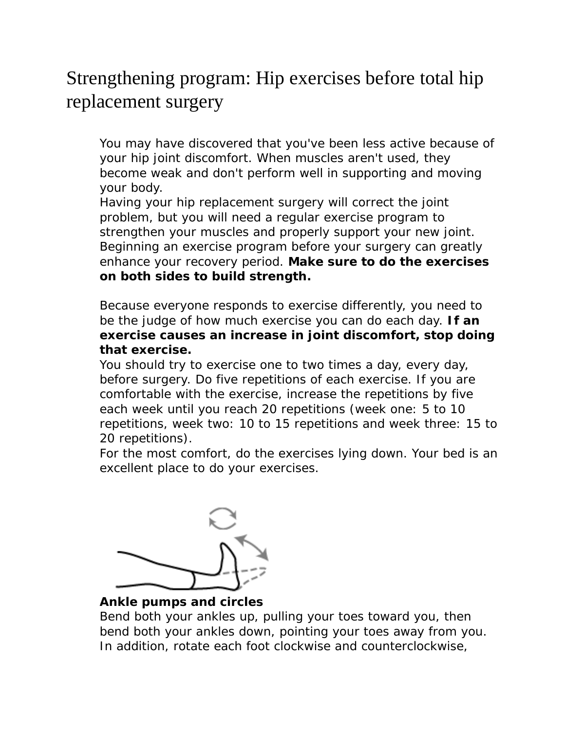# Strengthening program: Hip exercises before total hip replacement surgery

 You may have discovered that you've been less active because of your hip joint discomfort. When muscles aren't used, they become weak and don't perform well in supporting and moving your body.

Having your hip replacement surgery will correct the joint problem, but you will need a regular exercise program to strengthen your muscles and properly support your new joint. Beginning an exercise program before your surgery can greatly enhance your recovery period. **Make sure to do the exercises on both sides to build strength.**

Because everyone responds to exercise differently, you need to be the judge of how much exercise you can do each day. **If an exercise causes an increase in joint discomfort, stop doing that exercise.**

You should try to exercise one to two times a day, every day, before surgery. Do five repetitions of each exercise. If you are comfortable with the exercise, increase the repetitions by five each week until you reach 20 repetitions (week one: 5 to 10 repetitions, week two: 10 to 15 repetitions and week three: 15 to 20 repetitions).

For the most comfort, do the exercises lying down. Your bed is an excellent place to do your exercises.



 **Ankle pumps and circles** 

Bend both your ankles up, pulling your toes toward you, then bend both your ankles down, pointing your toes away from you. In addition, rotate each foot clockwise and counterclockwise,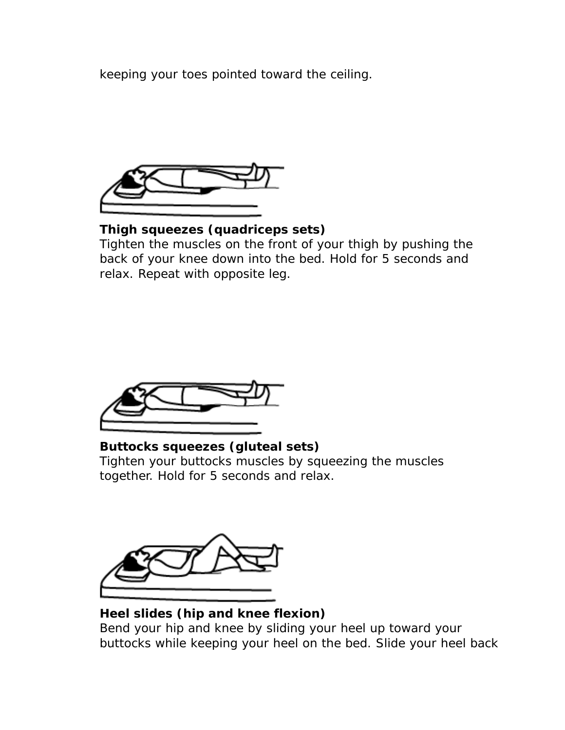keeping your toes pointed toward the ceiling.



 **Thigh squeezes (quadriceps sets)** 

Tighten the muscles on the front of your thigh by pushing the back of your knee down into the bed. Hold for 5 seconds and relax. Repeat with opposite leg.



 **Buttocks squeezes (gluteal sets)**  Tighten your buttocks muscles by squeezing the muscles together. Hold for 5 seconds and relax.



# **Heel slides (hip and knee flexion)**

Bend your hip and knee by sliding your heel up toward your buttocks while keeping your heel on the bed. Slide your heel back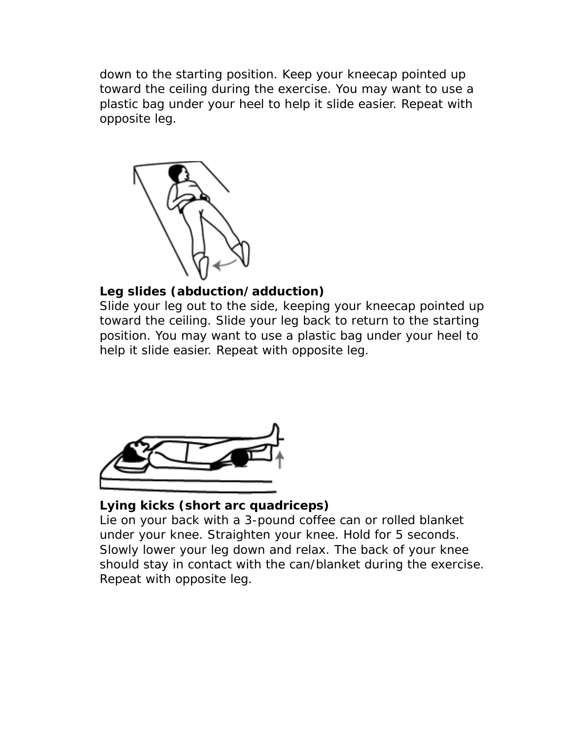down to the starting position. Keep your kneecap pointed up toward the ceiling during the exercise. You may want to use a plastic bag under your heel to help it slide easier. Repeat with opposite leg.



# **Leg slides (abduction/adduction)**

Slide your leg out to the side, keeping your kneecap pointed up toward the ceiling. Slide your leg back to return to the starting position. You may want to use a plastic bag under your heel to help it slide easier. Repeat with opposite leg.



# **Lying kicks (short arc quadriceps)**

Lie on your back with a 3-pound coffee can or rolled blanket under your knee. Straighten your knee. Hold for 5 seconds. Slowly lower your leg down and relax. The back of your knee should stay in contact with the can/blanket during the exercise. Repeat with opposite leg.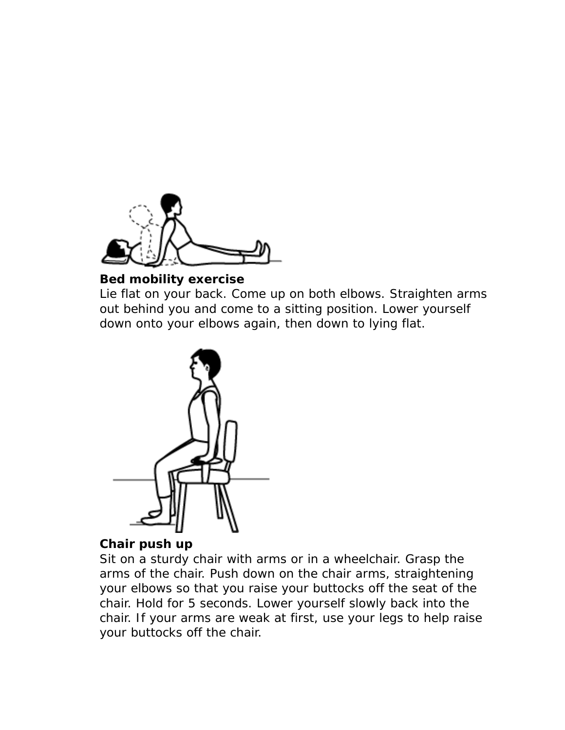

#### **Bed mobility exercise**

Lie flat on your back. Come up on both elbows. Straighten arms out behind you and come to a sitting position. Lower yourself down onto your elbows again, then down to lying flat.



# **Chair push up**

Sit on a sturdy chair with arms or in a wheelchair. Grasp the arms of the chair. Push down on the chair arms, straightening your elbows so that you raise your buttocks off the seat of the chair. Hold for 5 seconds. Lower yourself slowly back into the chair. If your arms are weak at first, use your legs to help raise your buttocks off the chair.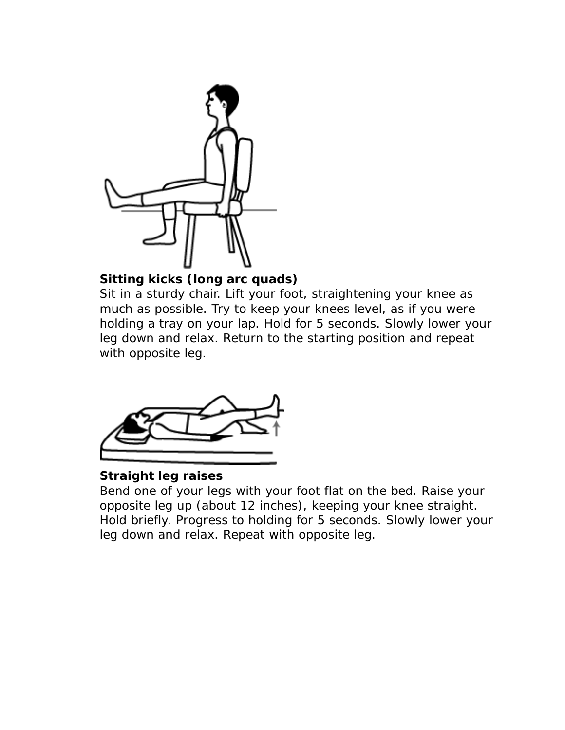

# **Sitting kicks (long arc quads)**

Sit in a sturdy chair. Lift your foot, straightening your knee as much as possible. Try to keep your knees level, as if you were holding a tray on your lap. Hold for 5 seconds. Slowly lower your leg down and relax. Return to the starting position and repeat with opposite leg.



# **Straight leg raises**

Bend one of your legs with your foot flat on the bed. Raise your opposite leg up (about 12 inches), keeping your knee straight. Hold briefly. Progress to holding for 5 seconds. Slowly lower your leg down and relax. Repeat with opposite leg.